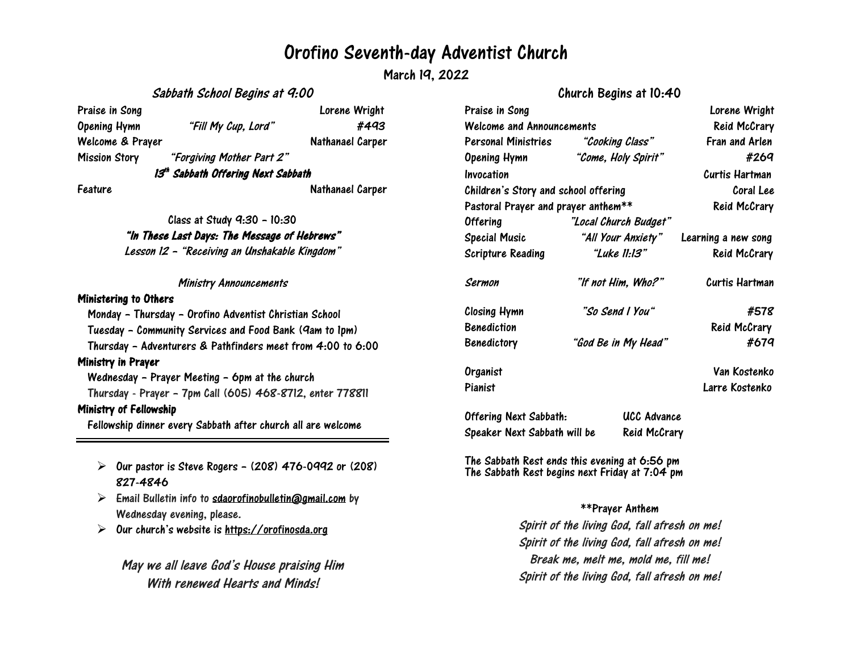# Orofino Seventh-day Adventist Church

March 19, 2022

### Sabbath School Begins at 9:00

### Church Begins at 10:40

| Lorene Wright<br>#493<br>Nathanael Carper              | Praise in Song<br><b>Welcome and Anno</b><br><b>Personal Ministries</b>                                                                                                                                                                                                                                                                                                                                                          |
|--------------------------------------------------------|----------------------------------------------------------------------------------------------------------------------------------------------------------------------------------------------------------------------------------------------------------------------------------------------------------------------------------------------------------------------------------------------------------------------------------|
|                                                        |                                                                                                                                                                                                                                                                                                                                                                                                                                  |
|                                                        |                                                                                                                                                                                                                                                                                                                                                                                                                                  |
|                                                        |                                                                                                                                                                                                                                                                                                                                                                                                                                  |
|                                                        | <b>Opening Hymn</b>                                                                                                                                                                                                                                                                                                                                                                                                              |
|                                                        | Invocation                                                                                                                                                                                                                                                                                                                                                                                                                       |
|                                                        | Children's Story ar                                                                                                                                                                                                                                                                                                                                                                                                              |
|                                                        | Pastoral Prayer an                                                                                                                                                                                                                                                                                                                                                                                                               |
|                                                        | <b>Offering</b>                                                                                                                                                                                                                                                                                                                                                                                                                  |
|                                                        | <b>Special Music</b>                                                                                                                                                                                                                                                                                                                                                                                                             |
|                                                        | <b>Scripture Reading</b>                                                                                                                                                                                                                                                                                                                                                                                                         |
|                                                        | Sermon                                                                                                                                                                                                                                                                                                                                                                                                                           |
|                                                        |                                                                                                                                                                                                                                                                                                                                                                                                                                  |
|                                                        | <b>Closing Hymn</b>                                                                                                                                                                                                                                                                                                                                                                                                              |
|                                                        | <b>Benediction</b>                                                                                                                                                                                                                                                                                                                                                                                                               |
|                                                        | Benedictory                                                                                                                                                                                                                                                                                                                                                                                                                      |
|                                                        |                                                                                                                                                                                                                                                                                                                                                                                                                                  |
|                                                        | Organist                                                                                                                                                                                                                                                                                                                                                                                                                         |
|                                                        | Pianist                                                                                                                                                                                                                                                                                                                                                                                                                          |
|                                                        |                                                                                                                                                                                                                                                                                                                                                                                                                                  |
|                                                        | <b>Offering Next Sabl</b>                                                                                                                                                                                                                                                                                                                                                                                                        |
|                                                        | <b>Speaker Next Sabt</b>                                                                                                                                                                                                                                                                                                                                                                                                         |
|                                                        | The Sabbath Rest<br>The Sabbath Rest l                                                                                                                                                                                                                                                                                                                                                                                           |
| Monday - Thursday - Orofino Adventist Christian School | Nathanael Carper<br>"In These Last Days: The Message of Hebrews"<br>Lesson 12 - "Receiving an Unshakable Kingdom"<br>Tuesday - Community Services and Food Bank (9am to 1pm)<br>Thursday - Adventurers & Pathfinders meet from 4:00 to 6:00<br>Thursday - Prayer - 7pm Call (605) 468-8712, enter 778811<br>Fellowship dinner every Sabbath after church all are welcome<br>Our pastor is Steve Rogers - (208) 476-0992 or (208) |

827-4846

- $\triangleright$  Email Bulletin info to [sdaorofinobulletin@gmail.com](mailto:sdaorofinobulletin@gmail.com) by Wednesday evening, please.
- $\triangleright$ Our church's website is [https://orofinosda.org](https://orofinosda.org/)

May we all leave God's House praising Him With renewed Hearts and Minds!

| Praise in Song                       |                       | Lorene Wright       |
|--------------------------------------|-----------------------|---------------------|
| Welcome and Announcements            |                       | <b>Reid McCrary</b> |
| Personal Ministries                  | "Cooking Class"       | Fran and Arlen      |
| Opening Hymn                         | "Come, Holy Spirit"   | #269                |
| Invocation                           |                       | Curtis Hartman      |
| Children's Story and school offering | Coral Lee             |                     |
| Pastoral Prayer and prayer anthem**  | <b>Reid McCrary</b>   |                     |
| Offering                             | "Local Church Budget" |                     |
| Special Music                        | "All Your Anxiety"    | Learning a new song |
| Scripture Reading                    | "Luke 11:13"          | <b>Reid McCrary</b> |
| Sermon                               | "If not Him. Who?"    | Curtis Hartman      |
| Closing Hymn                         | "So Send I You"       | #578                |
| Benediction                          |                       | Reid McCrary        |
| Benedictory                          | "God Be in My Head"   | #679                |
| Organist                             |                       | Van Kostenko        |
| Pianist                              |                       | Larre Kostenko      |
|                                      |                       |                     |

bath: UCC Advance bath will be Reid McCrary

ends this evening at 6:56 pm begins next Friday at  $7:04$  pm

#### \*\*Prayer Anthem

Spirit of the living God, fall afresh on me! Spirit of the living God, fall afresh on me! Break me, melt me, mold me, fill me! Spirit of the living God, fall afresh on me!